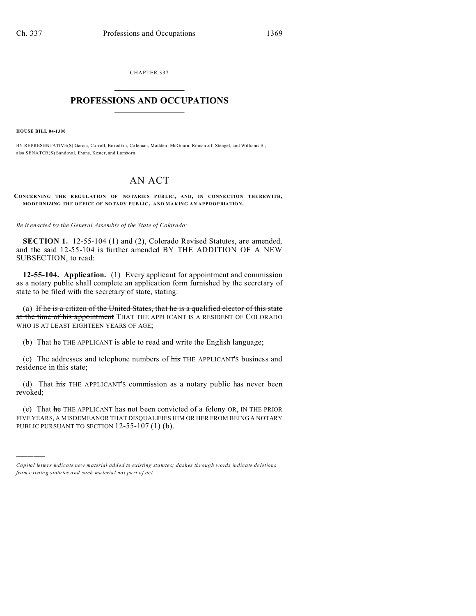CHAPTER 337  $\overline{\phantom{a}}$  , where  $\overline{\phantom{a}}$ 

## **PROFESSIONS AND OCCUPATIONS**  $\frac{1}{2}$  ,  $\frac{1}{2}$  ,  $\frac{1}{2}$  ,  $\frac{1}{2}$  ,  $\frac{1}{2}$  ,  $\frac{1}{2}$  ,  $\frac{1}{2}$

**HOUSE BILL 04-1300**

)))))

BY REPRESENTATIVE(S) Garcia, Carroll, Borodkin, Coleman, Madden, McGihon, Roman off, Stengel, and Williams S.; also SENATOR(S) Sandoval, Evans, Kester, and Lamborn.

## AN ACT

**CONCERNING THE R EG UL ATION OF NO TARIES P UB LIC, AND, IN CONNE CTION THE REW ITH, MO DE RNIZING THE O FFICE OF NO TARY PUB LIC , AND MAKING AN APPROPRIATION.**

*Be it enacted by the General Assembly of the State of Colorado:*

**SECTION 1.** 12-55-104 (1) and (2), Colorado Revised Statutes, are amended, and the said 12-55-104 is further amended BY THE ADDITION OF A NEW SUBSECTION, to read:

**12-55-104. Application.** (1) Every applicant for appointment and commission as a notary public shall complete an application form furnished by the secretary of state to be filed with the secretary of state, stating:

(a) If he is a citizen of the United States, that he is a qualified elector of this state at the time of his appointment THAT THE APPLICANT IS A RESIDENT OF COLORADO WHO IS AT LEAST EIGHTEEN YEARS OF AGE;

(b) That he THE APPLICANT is able to read and write the English language;

(c) The addresses and telephone numbers of his THE APPLICANT'S business and residence in this state;

(d) That his THE APPLICANT'S commission as a notary public has never been revoked;

(e) That he THE APPLICANT has not been convicted of a felony OR, IN THE PRIOR FIVE YEARS, A MISDEMEANOR THAT DISQUALIFIES HIM OR HER FROM BEING A NOTARY PUBLIC PURSUANT TO SECTION 12-55-107 (1) (b).

*Capital letters indicate new material added to existing statutes; dashes through words indicate deletions from e xistin g statu tes a nd such ma teria l no t pa rt of ac t.*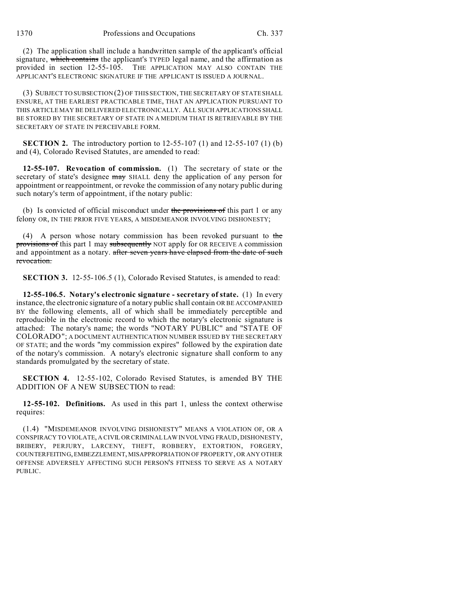(2) The application shall include a handwritten sample of the applicant's official signature, which contains the applicant's TYPED legal name, and the affirmation as provided in section 12-55-105. THE APPLICATION MAY ALSO CONTAIN THE APPLICANT'S ELECTRONIC SIGNATURE IF THE APPLICANT IS ISSUED A JOURNAL.

(3) SUBJECT TO SUBSECTION (2) OF THIS SECTION, THE SECRETARY OF STATE SHALL ENSURE, AT THE EARLIEST PRACTICABLE TIME, THAT AN APPLICATION PURSUANT TO THIS ARTICLE MAY BE DELIVERED ELECTRONICALLY. ALL SUCH APPLICATIONS SHALL BE STORED BY THE SECRETARY OF STATE IN A MEDIUM THAT IS RETRIEVABLE BY THE SECRETARY OF STATE IN PERCEIVABLE FORM.

**SECTION 2.** The introductory portion to 12-55-107 (1) and 12-55-107 (1) (b) and (4), Colorado Revised Statutes, are amended to read:

**12-55-107. Revocation of commission.** (1) The secretary of state or the secretary of state's designee may SHALL deny the application of any person for appointment or reappointment, or revoke the commission of any notary public during such notary's term of appointment, if the notary public:

(b) Is convicted of official misconduct under the provisions of this part 1 or any felony OR, IN THE PRIOR FIVE YEARS, A MISDEMEANOR INVOLVING DISHONESTY;

(4) A person whose notary commission has been revoked pursuant to the provisions of this part 1 may subsequently NOT apply for OR RECEIVE A commission and appointment as a notary. after seven years have elapsed from the date of such revocation.

**SECTION 3.** 12-55-106.5 (1), Colorado Revised Statutes, is amended to read:

**12-55-106.5. Notary's electronic signature - secretary of state.** (1) In every instance, the electronic signature of a notary public shall contain OR BE ACCOMPANIED BY the following elements, all of which shall be immediately perceptible and reproducible in the electronic record to which the notary's electronic signature is attached: The notary's name; the words "NOTARY PUBLIC" and "STATE OF COLORADO"; A DOCUMENT AUTHENTICATION NUMBER ISSUED BY THE SECRETARY OF STATE; and the words "my commission expires" followed by the expiration date of the notary's commission. A notary's electronic signature shall conform to any standards promulgated by the secretary of state.

**SECTION 4.** 12-55-102, Colorado Revised Statutes, is amended BY THE ADDITION OF A NEW SUBSECTION to read:

**12-55-102. Definitions.** As used in this part 1, unless the context otherwise requires:

(1.4) "MISDEMEANOR INVOLVING DISHONESTY" MEANS A VIOLATION OF, OR A CONSPIRACY TO VIOLATE, A CIVIL OR CRIMINAL LAW INVOLVING FRAUD, DISHONESTY, BRIBERY, PERJURY, LARCENY, THEFT, ROBBERY, EXTORTION, FORGERY, COUNTERFEITING,EMBEZZLEMENT, MISAPPROPRIATION OF PROPERTY, OR ANY OTHER OFFENSE ADVERSELY AFFECTING SUCH PERSON'S FITNESS TO SERVE AS A NOTARY PUBLIC.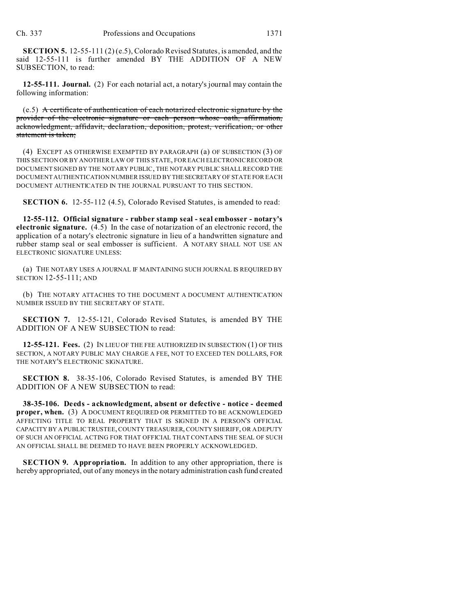**SECTION 5.** 12-55-111 (2) (e.5), Colorado Revised Statutes, is amended, and the said 12-55-111 is further amended BY THE ADDITION OF A NEW SUBSECTION, to read:

**12-55-111. Journal.** (2) For each notarial act, a notary's journal may contain the following information:

 $(e.5)$  A certificate of authentication of each notarized electronic signature by the provider of the electronic signature or each person whose oath, affirmation, acknowledgment, affidavit, declaration, deposition, protest, verification, or other statement is taken;

(4) EXCEPT AS OTHERWISE EXEMPTED BY PARAGRAPH (a) OF SUBSECTION (3) OF THIS SECTION OR BY ANOTHER LAW OF THIS STATE, FOR EACH ELECTRONIC RECORD OR DOCUMENT SIGNED BY THE NOTARY PUBLIC, THE NOTARY PUBLIC SHALL RECORD THE DOCUMENT AUTHENTICATION NUMBER ISSUED BY THESECRETARY OF STATE FOR EACH DOCUMENT AUTHENTICATED IN THE JOURNAL PURSUANT TO THIS SECTION.

**SECTION 6.** 12-55-112 (4.5), Colorado Revised Statutes, is amended to read:

**12-55-112. Official signature - rubber stamp seal - seal embosser - notary's electronic signature.** (4.5) In the case of notarization of an electronic record, the application of a notary's electronic signature in lieu of a handwritten signature and rubber stamp seal or seal embosser is sufficient. A NOTARY SHALL NOT USE AN ELECTRONIC SIGNATURE UNLESS:

(a) THE NOTARY USES A JOURNAL IF MAINTAINING SUCH JOURNAL IS REQUIRED BY SECTION 12-55-111; AND

(b) THE NOTARY ATTACHES TO THE DOCUMENT A DOCUMENT AUTHENTICATION NUMBER ISSUED BY THE SECRETARY OF STATE.

**SECTION 7.** 12-55-121, Colorado Revised Statutes, is amended BY THE ADDITION OF A NEW SUBSECTION to read:

**12-55-121. Fees.** (2) IN LIEU OF THE FEE AUTHORIZED IN SUBSECTION (1) OF THIS SECTION, A NOTARY PUBLIC MAY CHARGE A FEE, NOT TO EXCEED TEN DOLLARS, FOR THE NOTARY'S ELECTRONIC SIGNATURE.

**SECTION 8.** 38-35-106, Colorado Revised Statutes, is amended BY THE ADDITION OF A NEW SUBSECTION to read:

**38-35-106. Deeds - acknowledgment, absent or defective - notice - deemed proper, when.** (3) A DOCUMENT REQUIRED OR PERMITTED TO BE ACKNOWLEDGED AFFECTING TITLE TO REAL PROPERTY THAT IS SIGNED IN A PERSON'S OFFICIAL CAPACITY BY A PUBLIC TRUSTEE, COUNTY TREASURER, COUNTY SHERIFF, OR A DEPUTY OF SUCH AN OFFICIAL ACTING FOR THAT OFFICIAL THAT CONTAINS THE SEAL OF SUCH AN OFFICIAL SHALL BE DEEMED TO HAVE BEEN PROPERLY ACKNOWLEDGED.

**SECTION 9. Appropriation.** In addition to any other appropriation, there is hereby appropriated, out of any moneys in the notary administration cash fund created